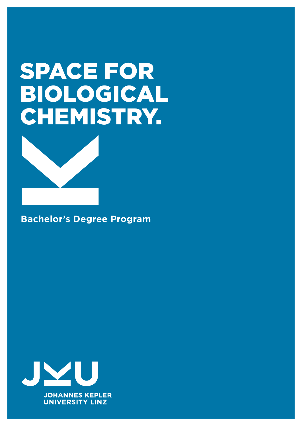# SPACE FOR BIOLOGICAL CHEMISTRY.



**Bachelor's Degree Program**

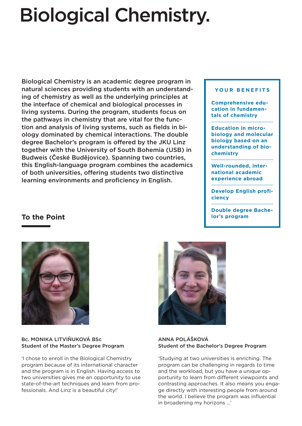## Biological Chemistry.

Biological Chemistry is an academic degree program in natural sciences providing students with an understanding of chemistry as well as the underlying principles at the interface of chemical and biological processes in living systems. During the program, students focus on the pathways in chemistry that are vital for the function and analysis of living systems, such as fields in biology dominated by chemical interactions. The double degree Bachelor's program is offered by the JKU Linz together with the University of South Bohemia (USB) in Budweis (České Budějovice). Spanning two countries, this English-language program combines the academics of both universities, offering students two distinctive learning environments and proficiency in English.

#### **YOUR BENEFITS**

**Comprehensive education in fundamentals of chemistry**

**Education in microbiology and molecular biology based on an understanding of biochemistry**

**Well-rounded, international academic experience abroad**

**Develop English proficiency**

**Double degree Bachelor's program**

### **To the Point**



Bc. MONIKA LITVIŇUKOVÁ BSc Student of the Master's Degree Program

'I chose to enroll in the Biological Chemistry program because of its international character and the program is in English. Having access to two universities gives me an opportunity to use state-of-the-art techniques and learn from professionals. And Linz is a beautiful city!'



#### ANNA POLÁŠKOVÁ Student of the Bachelor's Degree Program

'Studying at two universities is enriching. The program can be challenging in regards to time and the workload, but you have a unique opportunity to learn from different viewpoints and contrasting approaches. It also means you engage directly with interesting people from around the world. I believe the program was influential in broadening my horizons ...'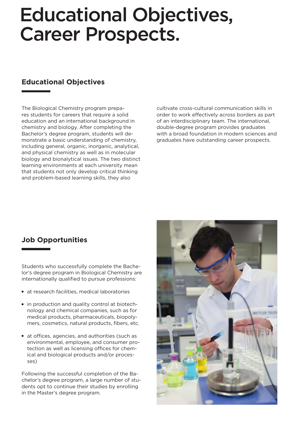## Educational Objectives, Career Prospects.

## **Educational Objectives**

The Biological Chemistry program prepares students for careers that require a solid education and an international background in chemistry and biology. After completing the Bachelor's degree program, students will demonstrate a basic understanding of chemistry, including general, organic, inorganic, analytical, and physical chemistry as well as in molecular biology and bionalytical issues. The two distinct learning environments at each university mean that students not only develop critical thinking and problem-based learning skills, they also

cultivate cross-cultural communication skills in order to work effectively across borders as part of an interdisciplinary team. The international, double-degree program provides graduates with a broad foundation in modern sciences and graduates have outstanding career prospects.

## **Job Opportunities**

Students who successfully complete the Bachelor's degree program in Biological Chemistry are internationally qualified to pursue professions:

- at research facilities, medical laboratories
- in production and quality control at biotechnology and chemical companies, such as for medical products, pharmaceuticals, biopolymers, cosmetics, natural products, fibers, etc.
- at offices, agencies, and authorities (such as environmental, employee, and consumer protection as well as licensing offices for chemical and biological products and/or processes)

Following the successful completion of the Bachelor's degree program, a large number of students opt to continue their studies by enrolling in the Master's degree program.

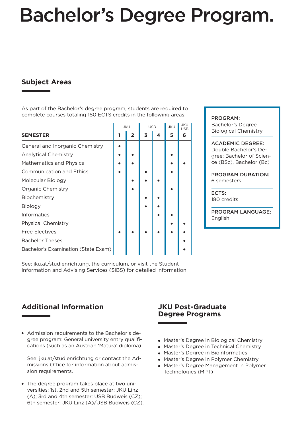## Bachelor's Degree Program.

## **Subject Areas**

As part of the Bachelor's degree program, students are required to complete courses totaling 180 ECTS credits in the following areas:

|                                     | <b>JKU</b> |              | <b>USB</b> |   | <b>JKU</b> | JKU<br><b>USB</b> |
|-------------------------------------|------------|--------------|------------|---|------------|-------------------|
| <b>SEMESTER</b>                     |            | $\mathbf{2}$ | 3          | 4 | 5          | 6                 |
| General and Inorganic Chemistry     |            |              |            |   |            |                   |
| <b>Analytical Chemistry</b>         |            |              |            |   |            |                   |
| <b>Mathematics and Physics</b>      |            |              |            |   |            |                   |
| <b>Communication and Ethics</b>     |            |              |            |   |            |                   |
| Molecular Biology                   |            |              |            |   |            |                   |
| <b>Organic Chemistry</b>            |            |              |            |   |            |                   |
| Biochemistry                        |            |              |            |   |            |                   |
| <b>Biology</b>                      |            |              |            |   |            |                   |
| <b>Informatics</b>                  |            |              |            |   |            |                   |
| <b>Physical Chemistry</b>           |            |              |            |   |            |                   |
| <b>Free Electives</b>               |            |              |            |   |            |                   |
| <b>Bachelor Theses</b>              |            |              |            |   |            |                   |
| Bachelor's Examination (State Exam) |            |              |            |   |            |                   |

PROGRAM:

Bachelor's Degree Biological Chemistry

ACADEMIC DEGREE: Double Bachelor's Degree: Bachelor of Science (BSc), Bachelor (Bc)

PROGRAM DURATION: 6 semesters

ECTS: 180 credits

PROGRAM LANGUAGE: English

See: jku.at/studienrichtung, the curriculum, or visit the Student Information and Advising Services (SIBS) for detailed information.

## **Additional Information**

Admission requirements to the Bachelor's degree program: General university entry qualifications (such as an Austrian 'Matura' diploma)

See: jku.at/studienrichtung or contact the Admissions Office for information about admission requirements.

The degree program takes place at two universities: 1st, 2nd and 5th semester: JKU Linz (A); 3rd and 4th semester: USB Budweis (CZ); 6th semester: JKU Linz (A)/USB Budweis (CZ).

### **JKU Post-Graduate Degree Programs**

- Master's Degree in Biological Chemistry
- Master's Degree in Technical Chemistry
- Master's Degree in Bioinformatics
- Master's Degree in Polymer Chemistry
- Master's Degree Management in Polymer Technologies (MPT)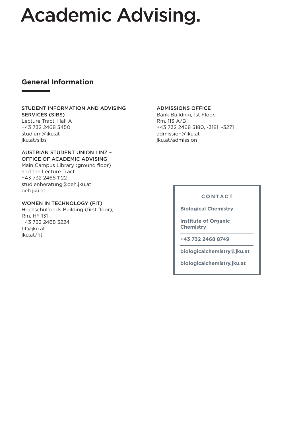## Academic Advising.

### **General Information**

#### STUDENT INFORMATION AND ADVISING SERVICES (SIBS)

Lecture Tract, Hall A +43 732 2468 3450 studium@jku.at jku.at/sibs

#### AUSTRIAN STUDENT UNION LINZ – OFFICE OF ACADEMIC ADVISING

Main Campus Library (ground floor) and the Lecture Tract +43 732 2468 1122 studienberatung@oeh.jku.at oeh.jku.at

#### WOMEN IN TECHNOLOGY (FIT)

Hochschulfonds Building (first floor), Rm. HF 131 +43 732 2468 3224 fit@jku.at jku.at/fit

#### ADMISSIONS OFFICE

Bank Building, 1st Floor, Rm. 113 A/B +43 732 2468 3180, -3181, -3271 admission@jku.at jku.at/admission

### **CONTACT**

**Biological Chemistry**

**Institute of Organic Chemistry**

**+43 732 2468 8749**

**biologicalchemistry@jku.at**

**biologicalchemistry.jku.at**